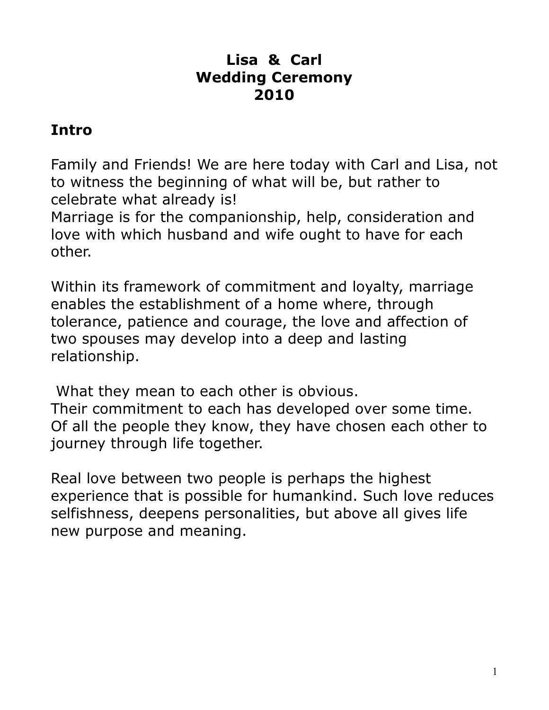#### **Lisa & Carl Wedding Ceremony 2010**

# **Intro**

Family and Friends! We are here today with Carl and Lisa, not to witness the beginning of what will be, but rather to celebrate what already is!

Marriage is for the companionship, help, consideration and love with which husband and wife ought to have for each other.

Within its framework of commitment and loyalty, marriage enables the establishment of a home where, through tolerance, patience and courage, the love and affection of two spouses may develop into a deep and lasting relationship.

 What they mean to each other is obvious. Their commitment to each has developed over some time. Of all the people they know, they have chosen each other to journey through life together.

Real love between two people is perhaps the highest experience that is possible for humankind. Such love reduces selfishness, deepens personalities, but above all gives life new purpose and meaning.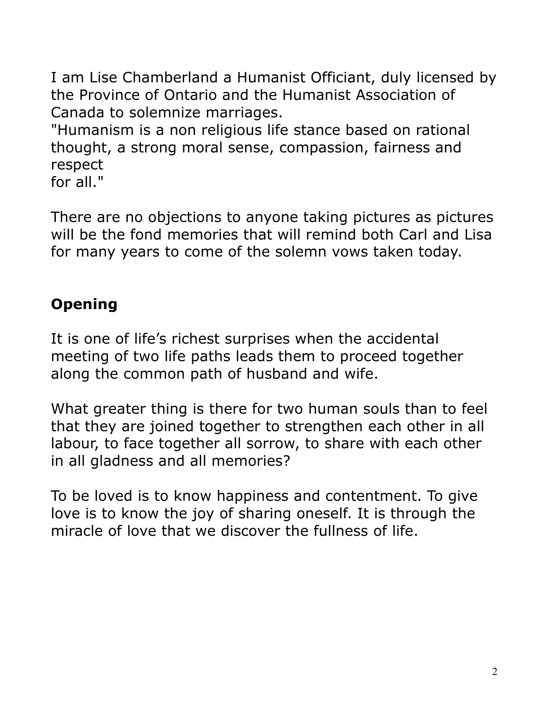I am Lise Chamberland a Humanist Officiant, duly licensed by the Province of Ontario and the Humanist Association of Canada to solemnize marriages.

"Humanism is a non religious life stance based on rational thought, a strong moral sense, compassion, fairness and respect

for all."

There are no objections to anyone taking pictures as pictures will be the fond memories that will remind both Carl and Lisa for many years to come of the solemn vows taken today.

# **Opening**

It is one of life's richest surprises when the accidental meeting of two life paths leads them to proceed together along the common path of husband and wife.

What greater thing is there for two human souls than to feel that they are joined together to strengthen each other in all labour, to face together all sorrow, to share with each other in all gladness and all memories?

To be loved is to know happiness and contentment. To give love is to know the joy of sharing oneself. It is through the miracle of love that we discover the fullness of life.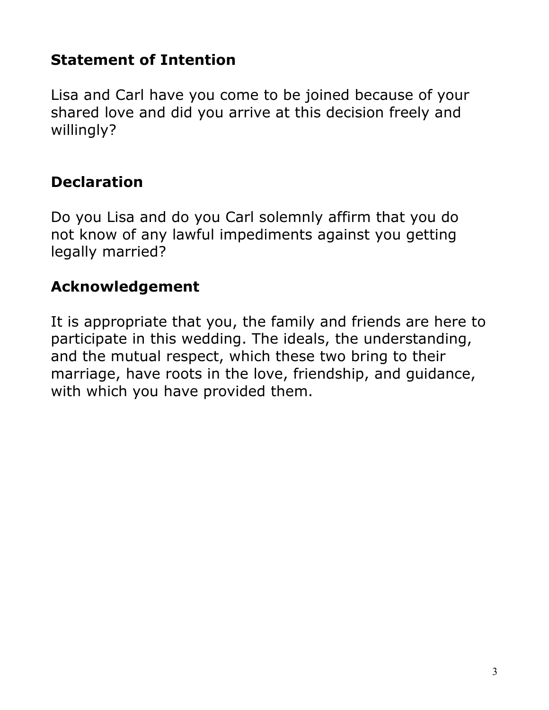# **Statement of Intention**

Lisa and Carl have you come to be joined because of your shared love and did you arrive at this decision freely and willingly?

# **Declaration**

Do you Lisa and do you Carl solemnly affirm that you do not know of any lawful impediments against you getting legally married?

# **Acknowledgement**

It is appropriate that you, the family and friends are here to participate in this wedding. The ideals, the understanding, and the mutual respect, which these two bring to their marriage, have roots in the love, friendship, and guidance, with which you have provided them.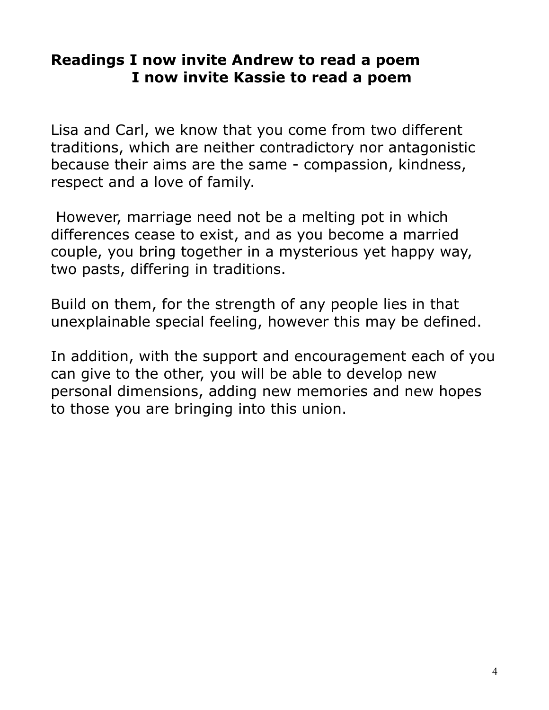#### **Readings I now invite Andrew to read a poem I now invite Kassie to read a poem**

Lisa and Carl, we know that you come from two different traditions, which are neither contradictory nor antagonistic because their aims are the same - compassion, kindness, respect and a love of family.

 However, marriage need not be a melting pot in which differences cease to exist, and as you become a married couple, you bring together in a mysterious yet happy way, two pasts, differing in traditions.

Build on them, for the strength of any people lies in that unexplainable special feeling, however this may be defined.

In addition, with the support and encouragement each of you can give to the other, you will be able to develop new personal dimensions, adding new memories and new hopes to those you are bringing into this union.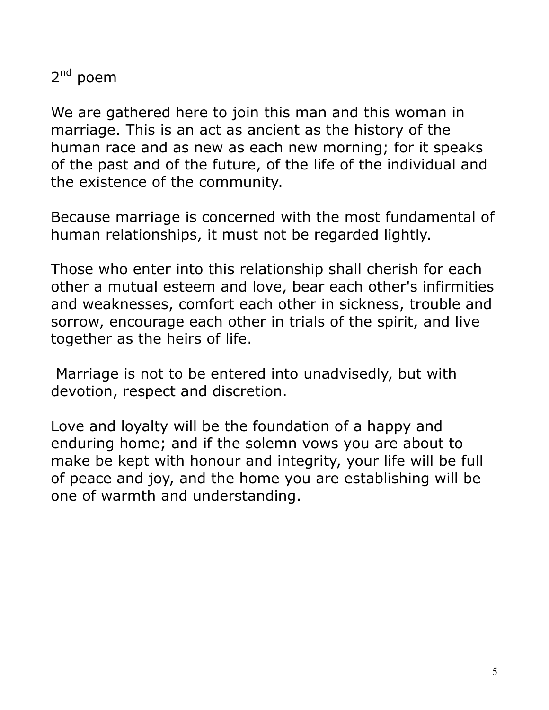2<sup>nd</sup> poem

We are gathered here to join this man and this woman in marriage. This is an act as ancient as the history of the human race and as new as each new morning; for it speaks of the past and of the future, of the life of the individual and the existence of the community.

Because marriage is concerned with the most fundamental of human relationships, it must not be regarded lightly.

Those who enter into this relationship shall cherish for each other a mutual esteem and love, bear each other's infirmities and weaknesses, comfort each other in sickness, trouble and sorrow, encourage each other in trials of the spirit, and live together as the heirs of life.

 Marriage is not to be entered into unadvisedly, but with devotion, respect and discretion.

Love and loyalty will be the foundation of a happy and enduring home; and if the solemn vows you are about to make be kept with honour and integrity, your life will be full of peace and joy, and the home you are establishing will be one of warmth and understanding.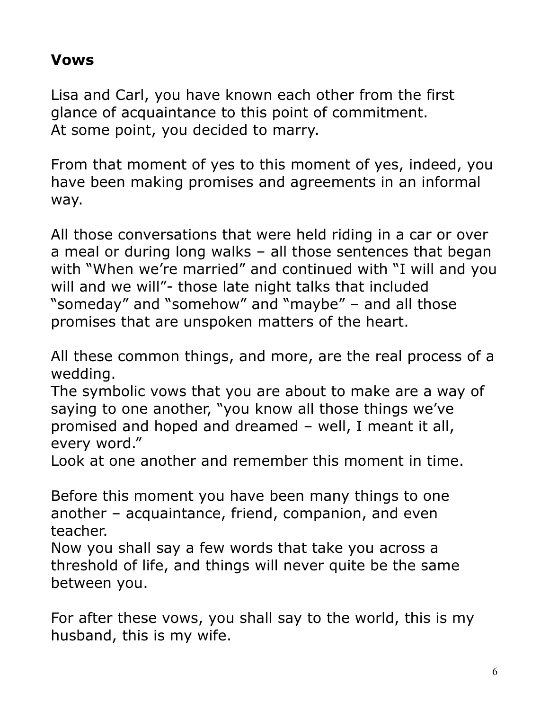#### **Vows**

Lisa and Carl, you have known each other from the first glance of acquaintance to this point of commitment. At some point, you decided to marry.

From that moment of yes to this moment of yes, indeed, you have been making promises and agreements in an informal way.

All those conversations that were held riding in a car or over a meal or during long walks – all those sentences that began with "When we're married" and continued with "I will and you will and we will"- those late night talks that included "someday" and "somehow" and "maybe" – and all those promises that are unspoken matters of the heart.

All these common things, and more, are the real process of a wedding.

The symbolic vows that you are about to make are a way of saying to one another, "you know all those things we've promised and hoped and dreamed – well, I meant it all, every word."

Look at one another and remember this moment in time.

Before this moment you have been many things to one another – acquaintance, friend, companion, and even teacher.

Now you shall say a few words that take you across a threshold of life, and things will never quite be the same between you.

For after these vows, you shall say to the world, this is my husband, this is my wife.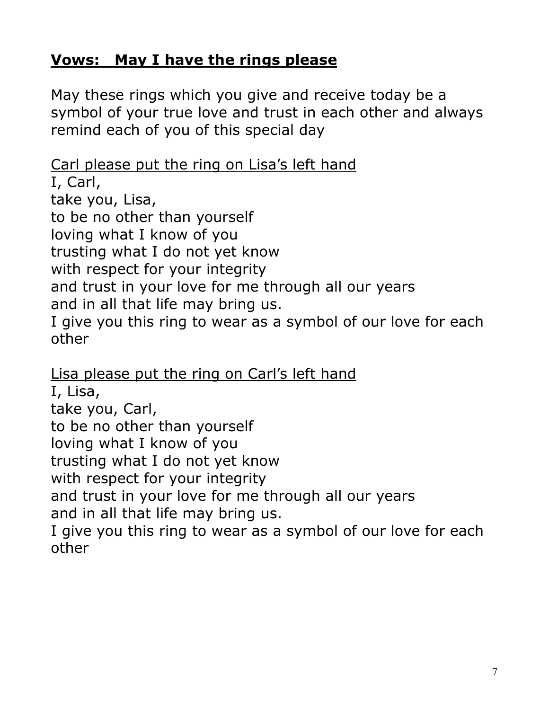## **Vows: May I have the rings please**

May these rings which you give and receive today be a symbol of your true love and trust in each other and always remind each of you of this special day

#### Carl please put the ring on Lisa's left hand

I, Carl, take you, Lisa, to be no other than yourself loving what I know of you trusting what I do not yet know with respect for your integrity and trust in your love for me through all our years and in all that life may bring us. I give you this ring to wear as a symbol of our love for each other

Lisa please put the ring on Carl's left hand I, Lisa, take you, Carl, to be no other than yourself loving what I know of you trusting what I do not yet know with respect for your integrity and trust in your love for me through all our years and in all that life may bring us. I give you this ring to wear as a symbol of our love for each other